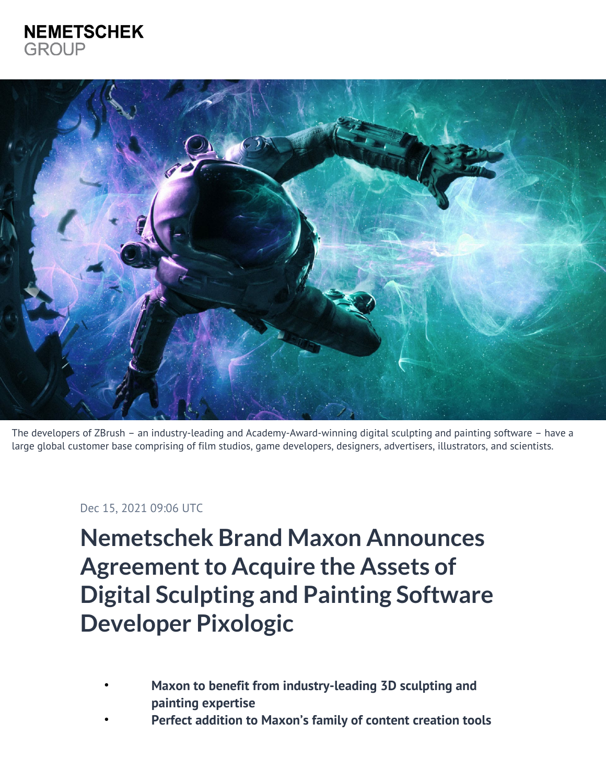## **NEMETSCHEK GROUP**



The developers of ZBrush – an industry-leading and Academy-Award-winning digital sculpting and painting software – have a large global customer base comprising of film studios, game developers, designers, advertisers, illustrators, and scientists.

## Dec 15, 2021 09:06 UTC

**Nemetschek Brand Maxon Announces Agreement to Acquire the Assets of Digital Sculpting and Painting Software Developer Pixologic**

- **Maxon to benefit from industry-leading 3D sculpting and painting expertise**
- **Perfect addition to Maxon's family of content creation tools**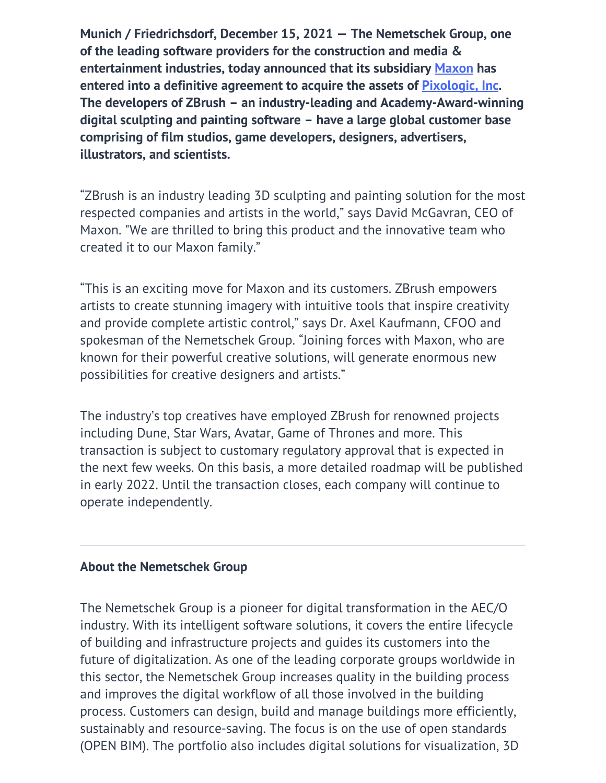**Munich / Friedrichsdorf, December 15, 2021 — The Nemetschek Group, one of the leading software providers for the construction and media & entertainment industries, today announced that its subsidiary [Maxon](https://www.maxon.net) has entered into a definitive agreement to acquire the assets of [Pixologic, Inc.](https://pixologic.com/) The developers of ZBrush – an industry-leading and Academy-Award-winning digital sculpting and painting software – have a large global customer base comprising of film studios, game developers, designers, advertisers, illustrators, and scientists.**

"ZBrush is an industry leading 3D sculpting and painting solution for the most respected companies and artists in the world," says David McGavran, CEO of Maxon. "We are thrilled to bring this product and the innovative team who created it to our Maxon family."

"This is an exciting move for Maxon and its customers. ZBrush empowers artists to create stunning imagery with intuitive tools that inspire creativity and provide complete artistic control," says Dr. Axel Kaufmann, CFOO and spokesman of the Nemetschek Group. "Joining forces with Maxon, who are known for their powerful creative solutions, will generate enormous new possibilities for creative designers and artists."

The industry's top creatives have employed ZBrush for renowned projects including Dune, Star Wars, Avatar, Game of Thrones and more. This transaction is subject to customary regulatory approval that is expected in the next few weeks. On this basis, a more detailed roadmap will be published in early 2022. Until the transaction closes, each company will continue to operate independently.

## **About the Nemetschek Group**

The Nemetschek Group is a pioneer for digital transformation in the AEC/O industry. With its intelligent software solutions, it covers the entire lifecycle of building and infrastructure projects and guides its customers into the future of digitalization. As one of the leading corporate groups worldwide in this sector, the Nemetschek Group increases quality in the building process and improves the digital workflow of all those involved in the building process. Customers can design, build and manage buildings more efficiently, sustainably and resource-saving. The focus is on the use of open standards (OPEN BIM). The portfolio also includes digital solutions for visualization, 3D